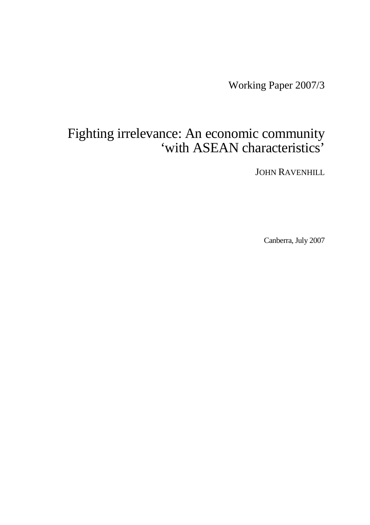Working Paper 2007/3

# Fighting irrelevance: An economic community 'with ASEAN characteristics'

JOHN RAVENHILL

Canberra, July 2007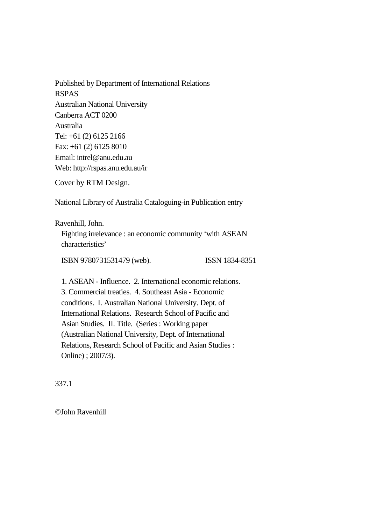Published by Department of International Relations RSPAS Australian National University Canberra ACT 0200 Australia Tel: +61 (2) 6125 2166 Fax: +61 (2) 6125 8010 Email: intrel@anu.edu.au Web: http://rspas.anu.edu.au/ir

Cover by RTM Design.

National Library of Australia Cataloguing-in Publication entry

Ravenhill, John.

Fighting irrelevance : an economic community 'with ASEAN characteristics'

ISBN 9780731531479 (web). ISSN 1834-8351

1. ASEAN - Influence. 2. International economic relations. 3. Commercial treaties. 4. Southeast Asia - Economic conditions. I. Australian National University. Dept. of International Relations. Research School of Pacific and Asian Studies. II. Title. (Series : Working paper (Australian National University, Dept. of International Relations, Research School of Pacific and Asian Studies : Online) ; 2007/3).

337.1

©John Ravenhill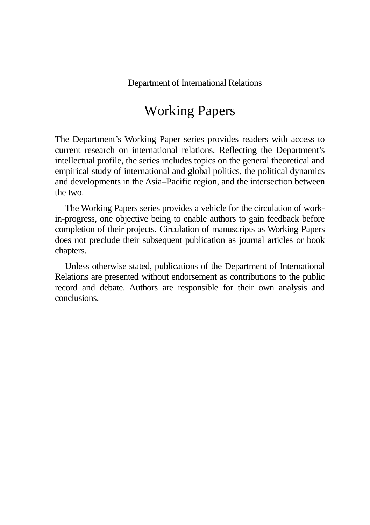Department of International Relations

# Working Papers

The Department's Working Paper series provides readers with access to current research on international relations. Reflecting the Department's intellectual profile, the series includes topics on the general theoretical and empirical study of international and global politics, the political dynamics and developments in the Asia–Pacific region, and the intersection between the two.

The Working Papers series provides a vehicle for the circulation of workin-progress, one objective being to enable authors to gain feedback before completion of their projects. Circulation of manuscripts as Working Papers does not preclude their subsequent publication as journal articles or book chapters.

Unless otherwise stated, publications of the Department of International Relations are presented without endorsement as contributions to the public record and debate. Authors are responsible for their own analysis and conclusions.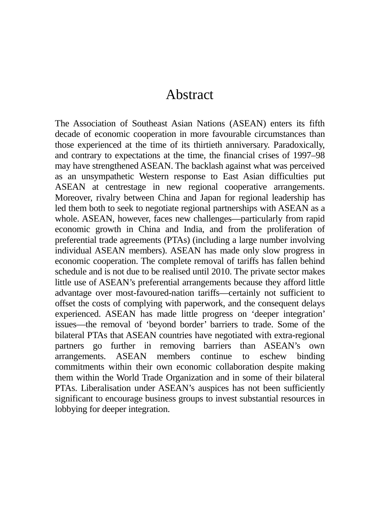# Abstract

The Association of Southeast Asian Nations (ASEAN) enters its fifth decade of economic cooperation in more favourable circumstances than those experienced at the time of its thirtieth anniversary. Paradoxically, and contrary to expectations at the time, the financial crises of 1997–98 may have strengthened ASEAN. The backlash against what was perceived as an unsympathetic Western response to East Asian difficulties put ASEAN at centrestage in new regional cooperative arrangements. Moreover, rivalry between China and Japan for regional leadership has led them both to seek to negotiate regional partnerships with ASEAN as a whole. ASEAN, however, faces new challenges—particularly from rapid economic growth in China and India, and from the proliferation of preferential trade agreements (PTAs) (including a large number involving individual ASEAN members). ASEAN has made only slow progress in economic cooperation. The complete removal of tariffs has fallen behind schedule and is not due to be realised until 2010. The private sector makes little use of ASEAN's preferential arrangements because they afford little advantage over most-favoured-nation tariffs—certainly not sufficient to offset the costs of complying with paperwork, and the consequent delays experienced. ASEAN has made little progress on 'deeper integration' issues—the removal of 'beyond border' barriers to trade. Some of the bilateral PTAs that ASEAN countries have negotiated with extra-regional partners go further in removing barriers than ASEAN's own arrangements. ASEAN members continue to eschew binding commitments within their own economic collaboration despite making them within the World Trade Organization and in some of their bilateral PTAs. Liberalisation under ASEAN's auspices has not been sufficiently significant to encourage business groups to invest substantial resources in lobbying for deeper integration.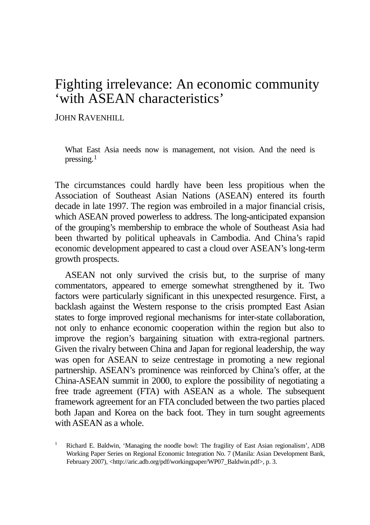# Fighting irrelevance: An economic community 'with ASEAN characteristics'

JOHN RAVENHILL

What East Asia needs now is management, not vision. And the need is pressing. $1$ 

The circumstances could hardly have been less propitious when the Association of Southeast Asian Nations (ASEAN) entered its fourth decade in late 1997. The region was embroiled in a major financial crisis, which ASEAN proved powerless to address. The long-anticipated expansion of the grouping's membership to embrace the whole of Southeast Asia had been thwarted by political upheavals in Cambodia. And China's rapid economic development appeared to cast a cloud over ASEAN's long-term growth prospects.

ASEAN not only survived the crisis but, to the surprise of many commentators, appeared to emerge somewhat strengthened by it. Two factors were particularly significant in this unexpected resurgence. First, a backlash against the Western response to the crisis prompted East Asian states to forge improved regional mechanisms for inter-state collaboration, not only to enhance economic cooperation within the region but also to improve the region's bargaining situation with extra-regional partners. Given the rivalry between China and Japan for regional leadership, the way was open for ASEAN to seize centrestage in promoting a new regional partnership. ASEAN's prominence was reinforced by China's offer, at the China-ASEAN summit in 2000, to explore the possibility of negotiating a free trade agreement (FTA) with ASEAN as a whole. The subsequent framework agreement for an FTA concluded between the two parties placed both Japan and Korea on the back foot. They in turn sought agreements with ASEAN as a whole.

<span id="page-4-0"></span><sup>&</sup>lt;sup>1</sup> Richard E. Baldwin, 'Managing the noodle bowl: The fragility of East Asian regionalism', ADB Working Paper Series on Regional Economic Integration No. 7 (Manila: Asian Development Bank, February 2007), [<http://aric.adb.org/pdf/workingpaper/WP07\\_Baldwin.pdf>](http://aric.adb.org/pdf/workingpaper/WP07_Baldwin.pdf), p. 3.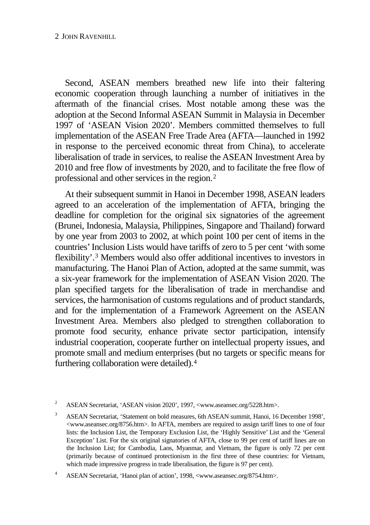Second, ASEAN members breathed new life into their faltering economic cooperation through launching a number of initiatives in the aftermath of the financial crises. Most notable among these was the adoption at the Second Informal ASEAN Summit in Malaysia in December 1997 of 'ASEAN Vision 2020'. Members committed themselves to full implementation of the ASEAN Free Trade Area (AFTA—launched in 1992 in response to the perceived economic threat from China), to accelerate liberalisation of trade in services, to realise the ASEAN Investment Area by 2010 and free flow of investments by 2020, and to facilitate the free flow of professional and other services in the region.[2](#page-5-0)

At their subsequent summit in Hanoi in December 1998, ASEAN leaders agreed to an acceleration of the implementation of AFTA, bringing the deadline for completion for the original six signatories of the agreement (Brunei, Indonesia, Malaysia, Philippines, Singapore and Thailand) forward by one year from 2003 to 2002, at which point 100 per cent of items in the countries' Inclusion Lists would have tariffs of zero to 5 per cent 'with some flexibility'.[3](#page-5-1) Members would also offer additional incentives to investors in manufacturing. The Hanoi Plan of Action, adopted at the same summit, was a six-year framework for the implementation of ASEAN Vision 2020. The plan specified targets for the liberalisation of trade in merchandise and services, the harmonisation of customs regulations and of product standards, and for the implementation of a Framework Agreement on the ASEAN Investment Area. Members also pledged to strengthen collaboration to promote food security, enhance private sector participation, intensify industrial cooperation, cooperate further on intellectual property issues, and promote small and medium enterprises (but no targets or specific means for furthering collaboration were detailed).[4](#page-5-2)

<span id="page-5-1"></span><sup>3</sup> ASEAN Secretariat, 'Statement on bold measures, 6th ASEAN summit, Hanoi, 16 December 1998', <www.aseansec.org/8756.htm>. In AFTA, members are required to assign tariff lines to one of four lists: the Inclusion List, the Temporary Exclusion List, the 'Highly Sensitive' List and the 'General Exception' List. For the six original signatories of AFTA, close to 99 per cent of tariff lines are on the Inclusion List; for Cambodia, Laos, Myanmar, and Vietnam, the figure is only 72 per cent (primarily because of continued protectionism in the first three of these countries: for Vietnam, which made impressive progress in trade liberalisation, the figure is 97 per cent).

<span id="page-5-0"></span><sup>&</sup>lt;sup>2</sup> ASEAN Secretariat, 'ASEAN vision 2020', 1997, <www.aseansec.org/5228.htm>.

<span id="page-5-2"></span><sup>4</sup> ASEAN Secretariat, 'Hanoi plan of action', 1998, <www.aseansec.org/8754.htm>.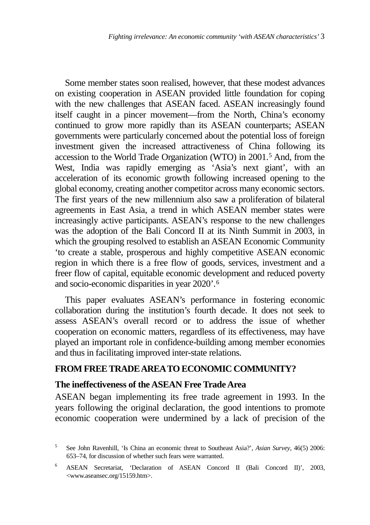Some member states soon realised, however, that these modest advances on existing cooperation in ASEAN provided little foundation for coping with the new challenges that ASEAN faced. ASEAN increasingly found itself caught in a pincer movement—from the North, China's economy continued to grow more rapidly than its ASEAN counterparts; ASEAN governments were particularly concerned about the potential loss of foreign investment given the increased attractiveness of China following its accession to the World Trade Organization (WTO) in 2001.[5](#page-6-0) And, from the West, India was rapidly emerging as 'Asia's next giant', with an acceleration of its economic growth following increased opening to the global economy, creating another competitor across many economic sectors. The first years of the new millennium also saw a proliferation of bilateral agreements in East Asia, a trend in which ASEAN member states were increasingly active participants. ASEAN's response to the new challenges was the adoption of the Bali Concord II at its Ninth Summit in 2003, in which the grouping resolved to establish an ASEAN Economic Community 'to create a stable, prosperous and highly competitive ASEAN economic region in which there is a free flow of goods, services, investment and a freer flow of capital, equitable economic development and reduced poverty and socio-economic disparities in year 2020'.[6](#page-6-1)

This paper evaluates ASEAN's performance in fostering economic collaboration during the institution's fourth decade. It does not seek to assess ASEAN's overall record or to address the issue of whether cooperation on economic matters, regardless of its effectiveness, may have played an important role in confidence-building among member economies and thus in facilitating improved inter-state relations.

### **FROM FREE TRADE AREATO ECONOMIC COMMUNITY?**

### **The ineffectiveness of the ASEAN Free Trade Area**

ASEAN began implementing its free trade agreement in 1993. In the years following the original declaration, the good intentions to promote economic cooperation were undermined by a lack of precision of the

<span id="page-6-0"></span><sup>5</sup> See John Ravenhill, 'Is China an economic threat to Southeast Asia?', *Asian Survey*, 46(5) 2006: 653–74, for discussion of whether such fears were warranted.

<span id="page-6-1"></span><sup>6</sup> ASEAN Secretariat, 'Declaration of ASEAN Concord II (Bali Concord II)', 2003, <www.aseansec.org/15159.htm>.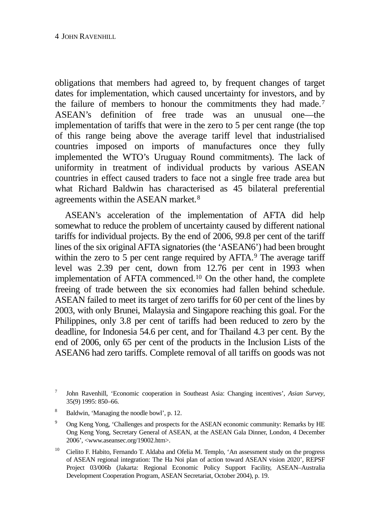obligations that members had agreed to, by frequent changes of target dates for implementation, which caused uncertainty for investors, and by the failure of members to honour the commitments they had made.<sup>[7](#page-7-0)</sup> ASEAN's definition of free trade was an unusual one—the implementation of tariffs that were in the zero to 5 per cent range (the top of this range being above the average tariff level that industrialised countries imposed on imports of manufactures once they fully implemented the WTO's Uruguay Round commitments). The lack of uniformity in treatment of individual products by various ASEAN countries in effect caused traders to face not a single free trade area but what Richard Baldwin has characterised as 45 bilateral preferential agreements within the ASEAN market.[8](#page-7-1)

ASEAN's acceleration of the implementation of AFTA did help somewhat to reduce the problem of uncertainty caused by different national tariffs for individual projects. By the end of 2006, 99.8 per cent of the tariff lines of the six original AFTA signatories (the 'ASEAN6') had been brought within the zero to  $\overline{5}$  per cent range required by AFTA.<sup>[9](#page-7-2)</sup> The average tariff level was 2.39 per cent, down from 12.76 per cent in 1993 when implementation of AFTA commenced.[10](#page-7-3) On the other hand, the complete freeing of trade between the six economies had fallen behind schedule. ASEAN failed to meet its target of zero tariffs for 60 per cent of the lines by 2003, with only Brunei, Malaysia and Singapore reaching this goal. For the Philippines, only 3.8 per cent of tariffs had been reduced to zero by the deadline, for Indonesia 54.6 per cent, and for Thailand 4.3 per cent. By the end of 2006, only 65 per cent of the products in the Inclusion Lists of the ASEAN6 had zero tariffs. Complete removal of all tariffs on goods was not

- <span id="page-7-1"></span><sup>8</sup> Baldwin, 'Managing the noodle bowl', p. 12.
- <span id="page-7-2"></span><sup>9</sup> Ong Keng Yong, 'Challenges and prospects for the ASEAN economic community: Remarks by HE Ong Keng Yong, Secretary General of ASEAN, at the ASEAN Gala Dinner, London, 4 December 2006', <www.aseansec.org/19002.htm>.
- <span id="page-7-3"></span><sup>10</sup> Cielito F. Habito, Fernando T. Aldaba and Ofelia M. Templo, 'An assessment study on the progress of ASEAN regional integration: The Ha Noi plan of action toward ASEAN vision 2020', REPSF Project 03/006b (Jakarta: Regional Economic Policy Support Facility, ASEAN–Australia Development Cooperation Program, ASEAN Secretariat, October 2004), p. 19.

<span id="page-7-0"></span><sup>7</sup> John Ravenhill, 'Economic cooperation in Southeast Asia: Changing incentives', *Asian Survey*, 35(9) 1995: 850–66.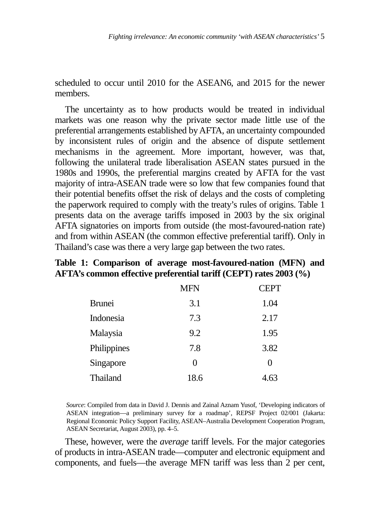scheduled to occur until 2010 for the ASEAN6, and 2015 for the newer members.

The uncertainty as to how products would be treated in individual markets was one reason why the private sector made little use of the preferential arrangements established by AFTA, an uncertainty compounded by inconsistent rules of origin and the absence of dispute settlement mechanisms in the agreement. More important, however, was that, following the unilateral trade liberalisation ASEAN states pursued in the 1980s and 1990s, the preferential margins created by AFTA for the vast majority of intra-ASEAN trade were so low that few companies found that their potential benefits offset the risk of delays and the costs of completing the paperwork required to comply with the treaty's rules of origins. Table 1 presents data on the average tariffs imposed in 2003 by the six original AFTA signatories on imports from outside (the most-favoured-nation rate) and from within ASEAN (the common effective preferential tariff). Only in Thailand's case was there a very large gap between the two rates.

## **Table 1: Comparison of average most-favoured-nation (MFN) and AFTA's common effective preferential tariff (CEPT) rates 2003 (%)**

|               | <b>MFN</b> | <b>CEPT</b> |
|---------------|------------|-------------|
| <b>Brunei</b> | 3.1        | 1.04        |
| Indonesia     | 7.3        | 2.17        |
| Malaysia      | 9.2        | 1.95        |
| Philippines   | 7.8        | 3.82        |
| Singapore     | 0          | $\theta$    |
| Thailand      | 18.6       | 4.6:        |

*Source*: Compiled from data in David J. Dennis and Zainal Aznam Yusof, 'Developing indicators of ASEAN integration—a preliminary survey for a roadmap', REPSF Project 02/001 (Jakarta: Regional Economic Policy Support Facility, ASEAN–Australia Development Cooperation Program, ASEAN Secretariat, August 2003), pp. 4–5.

These, however, were the *average* tariff levels. For the major categories of products in intra-ASEAN trade—computer and electronic equipment and components, and fuels—the average MFN tariff was less than 2 per cent,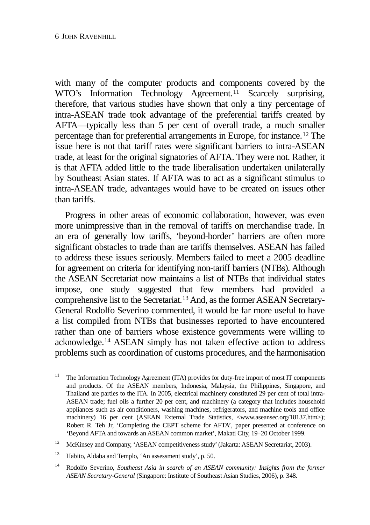with many of the computer products and components covered by the WTO's Information Technology Agreement.<sup>[11](#page-9-0)</sup> Scarcely surprising, therefore, that various studies have shown that only a tiny percentage of intra-ASEAN trade took advantage of the preferential tariffs created by AFTA—typically less than 5 per cent of overall trade, a much smaller percentage than for preferential arrangements in Europe, for instance[.12](#page-9-1) The issue here is not that tariff rates were significant barriers to intra-ASEAN trade, at least for the original signatories of AFTA. They were not. Rather, it is that AFTA added little to the trade liberalisation undertaken unilaterally by Southeast Asian states. If AFTA was to act as a significant stimulus to intra-ASEAN trade, advantages would have to be created on issues other than tariffs.

Progress in other areas of economic collaboration, however, was even more unimpressive than in the removal of tariffs on merchandise trade. In an era of generally low tariffs, 'beyond-border' barriers are often more significant obstacles to trade than are tariffs themselves. ASEAN has failed to address these issues seriously. Members failed to meet a 2005 deadline for agreement on criteria for identifying non-tariff barriers (NTBs). Although the ASEAN Secretariat now maintains a list of NTBs that individual states impose, one study suggested that few members had provided a comprehensive list to the Secretariat.<sup>[13](#page-9-2)</sup> And, as the former ASEAN Secretary-General Rodolfo Severino commented, it would be far more useful to have a list compiled from NTBs that businesses reported to have encountered rather than one of barriers whose existence governments were willing to acknowledge.[14](#page-9-3) ASEAN simply has not taken effective action to address problems such as coordination of customs procedures, and the harmonisation

<span id="page-9-0"></span><sup>&</sup>lt;sup>11</sup> The Information Technology Agreement (ITA) provides for duty-free import of most IT components and products. Of the ASEAN members, Indonesia, Malaysia, the Philippines, Singapore, and Thailand are parties to the ITA. In 2005, electrical machinery constituted 29 per cent of total intra-ASEAN trade; fuel oils a further 20 per cent, and machinery (a category that includes household appliances such as air conditioners, washing machines, refrigerators, and machine tools and office machinery) 16 per cent (ASEAN External Trade Statistics, [<www.aseansec.org/18137.htm>](http://www.aseansec.org/18137.htm)); Robert R. Teh Jr, 'Completing the CEPT scheme for AFTA', paper presented at conference on 'Beyond AFTA and towards an ASEAN common market', Makati City, 19–20 October 1999.

<span id="page-9-1"></span><sup>&</sup>lt;sup>12</sup> McKinsey and Company, 'ASEAN competitiveness study' (Jakarta: ASEAN Secretariat, 2003).

<span id="page-9-2"></span><sup>13</sup> Habito, Aldaba and Templo, 'An assessment study', p. 50.

<span id="page-9-3"></span><sup>&</sup>lt;sup>14</sup> Rodolfo Severino, *Southeast Asia in search of an ASEAN community: Insights from the former ASEAN Secretary-General* (Singapore: Institute of Southeast Asian Studies, 2006), p. 348.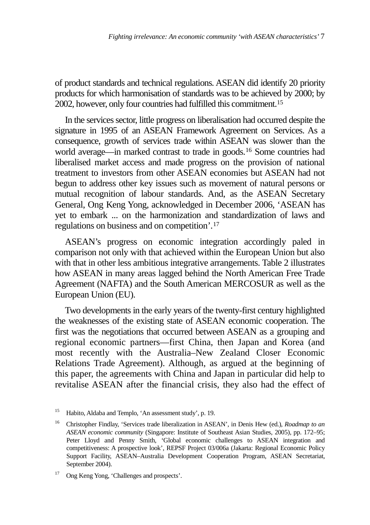of product standards and technical regulations. ASEAN did identify 20 priority products for which harmonisation of standards was to be achieved by 2000; by 2002, however, only four countries had fulfilled this commitment[.15](#page-10-0)

In the services sector, little progress on liberalisation had occurred despite the signature in 1995 of an ASEAN Framework Agreement on Services. As a consequence, growth of services trade within ASEAN was slower than the world average—in marked contrast to trade in goods.[16](#page-10-1) Some countries had liberalised market access and made progress on the provision of national treatment to investors from other ASEAN economies but ASEAN had not begun to address other key issues such as movement of natural persons or mutual recognition of labour standards. And, as the ASEAN Secretary General, Ong Keng Yong, acknowledged in December 2006, 'ASEAN has yet to embark ... on the harmonization and standardization of laws and regulations on business and on competition'.[17](#page-10-2)

ASEAN's progress on economic integration accordingly paled in comparison not only with that achieved within the European Union but also with that in other less ambitious integrative arrangements. Table 2 illustrates how ASEAN in many areas lagged behind the North American Free Trade Agreement (NAFTA) and the South American MERCOSUR as well as the European Union (EU).

Two developments in the early years of the twenty-first century highlighted the weaknesses of the existing state of ASEAN economic cooperation. The first was the negotiations that occurred between ASEAN as a grouping and regional economic partners—first China, then Japan and Korea (and most recently with the Australia–New Zealand Closer Economic Relations Trade Agreement). Although, as argued at the beginning of this paper, the agreements with China and Japan in particular did help to revitalise ASEAN after the financial crisis, they also had the effect of

<span id="page-10-0"></span><sup>15</sup> Habito, Aldaba and Templo, 'An assessment study', p. 19.

<span id="page-10-1"></span><sup>16</sup> Christopher Findlay, 'Services trade liberalization in ASEAN', in Denis Hew (ed.), *Roadmap to an ASEAN economic community* (Singapore: Institute of Southeast Asian Studies, 2005), pp. 172–95; Peter Lloyd and Penny Smith, 'Global economic challenges to ASEAN integration and competitiveness: A prospective look', REPSF Project 03/006a (Jakarta: Regional Economic Policy Support Facility, ASEAN–Australia Development Cooperation Program, ASEAN Secretariat, September 2004).

<span id="page-10-2"></span><sup>17</sup> Ong Keng Yong, 'Challenges and prospects'.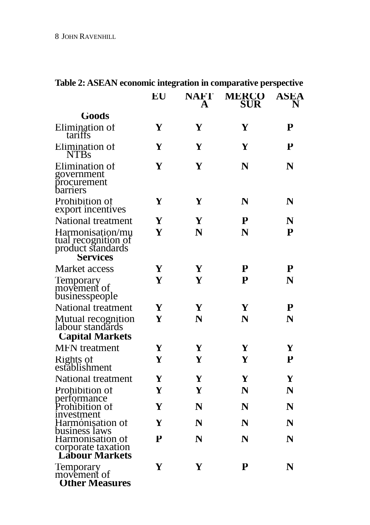| radic 2. ASEAN comonic micgration in comparative perspective                     |    |                  |                     |                  |
|----------------------------------------------------------------------------------|----|------------------|---------------------|------------------|
|                                                                                  | EU | <b>NAFT</b><br>A | <b>MERCO</b><br>SUR | <b>ASEA</b><br>N |
| <b>Goods</b>                                                                     |    |                  |                     |                  |
| Elimination of<br>tariffs                                                        | Y  | Y                | Y                   | P                |
| Elimination of<br><b>NTBs</b>                                                    | Y  | Y                | Y                   | P                |
| Elimination of<br>government<br>procurement<br>barriers                          | Y  | Y                | $\mathbb N$         | N                |
| Prohibition of<br>export incentives                                              | Y  | Y                | N                   | $\mathbb{N}$     |
| National treatment                                                               | Y  | Y                | P                   | N                |
| Harmonisation/mu<br>tual recognition of<br>product standards<br><b>Services</b>  | Y  | N                | N                   | P                |
| Market access                                                                    | Y  | Y                | P                   | ${\bf P}$        |
| Temporary<br>movement of<br>businesspeople                                       | Y  | Y                | P                   | N                |
| National treatment                                                               | Y  | Y                | Y                   | Р                |
| Mutual recognition<br>labour standards<br><b>Capital Markets</b>                 | Y  | N                | N                   | N                |
| <b>MFN</b> treatment                                                             | Y  | Y                | Y                   | Y                |
| Rights of<br>establishment                                                       | Y  | Y                | Y                   | Р                |
| National treatment                                                               | Y  | Y                | Y                   | Y                |
| Prohibition of                                                                   | Y  | Y                | $\mathbb N$         | N                |
| performance<br>Prohibition of<br>investment                                      | Y  | N                | N                   | N                |
| Harmonisation of                                                                 | Y  | N                | N                   | N                |
| business laws<br>Harmonisation of<br>corporate taxation<br><b>Lábour Markets</b> | P  | N                | N                   | N                |
| Temporary<br>movement of<br><b>Other Measures</b>                                | Y  | Y                | P                   | N                |

## **Table 2: ASEAN economic integration in comparative perspective**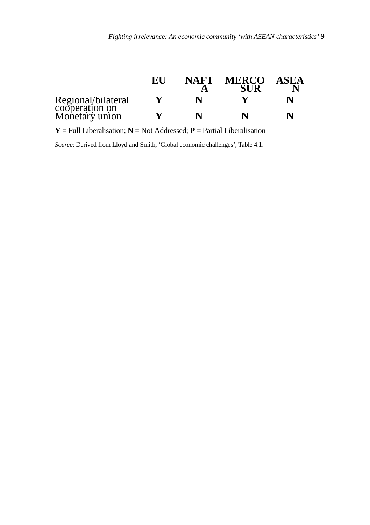|                                                        | EU | NAFT | <b>MERCO</b> | ASEA |
|--------------------------------------------------------|----|------|--------------|------|
| Regional/bilateral<br>cooperation on<br>Monetary union |    | N    |              |      |
|                                                        |    | N    |              | N    |

 $Y = Full\; Liberalisation; N = Not\; Addressed; P = Partial\; Liberalisation$ 

*Source*: Derived from Lloyd and Smith, 'Global economic challenges', Table 4.1.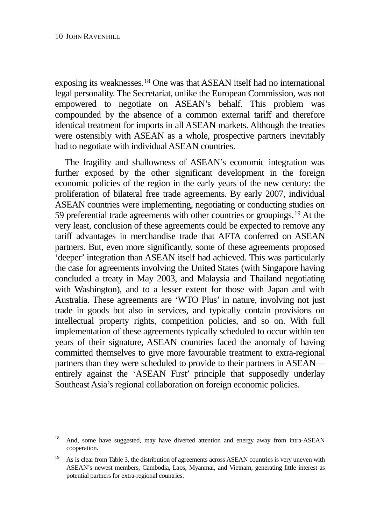exposing its weaknesses.[18](#page-13-0) One was that ASEAN itself had no international legal personality. The Secretariat, unlike the European Commission, was not empowered to negotiate on ASEAN's behalf. This problem was compounded by the absence of a common external tariff and therefore identical treatment for imports in all ASEAN markets. Although the treaties were ostensibly with ASEAN as a whole, prospective partners inevitably had to negotiate with individual ASEAN countries.

The fragility and shallowness of ASEAN's economic integration was further exposed by the other significant development in the foreign economic policies of the region in the early years of the new century: the proliferation of bilateral free trade agreements. By early 2007, individual ASEAN countries were implementing, negotiating or conducting studies on 59 preferential trade agreements with other countries or groupings.[19](#page-13-1) At the very least, conclusion of these agreements could be expected to remove any tariff advantages in merchandise trade that AFTA conferred on ASEAN partners. But, even more significantly, some of these agreements proposed 'deeper' integration than ASEAN itself had achieved. This was particularly the case for agreements involving the United States (with Singapore having concluded a treaty in May 2003, and Malaysia and Thailand negotiating with Washington), and to a lesser extent for those with Japan and with Australia. These agreements are 'WTO Plus' in nature, involving not just trade in goods but also in services, and typically contain provisions on intellectual property rights, competition policies, and so on. With full implementation of these agreements typically scheduled to occur within ten years of their signature, ASEAN countries faced the anomaly of having committed themselves to give more favourable treatment to extra-regional partners than they were scheduled to provide to their partners in ASEAN entirely against the 'ASEAN First' principle that supposedly underlay Southeast Asia's regional collaboration on foreign economic policies.

<span id="page-13-0"></span><sup>&</sup>lt;sup>18</sup> And, some have suggested, may have diverted attention and energy away from intra-ASEAN cooperation.

<span id="page-13-1"></span><sup>&</sup>lt;sup>19</sup> As is clear from Table 3, the distribution of agreements across ASEAN countries is very uneven with ASEAN's newest members, Cambodia, Laos, Myanmar, and Vietnam, generating little interest as potential partners for extra-regional countries.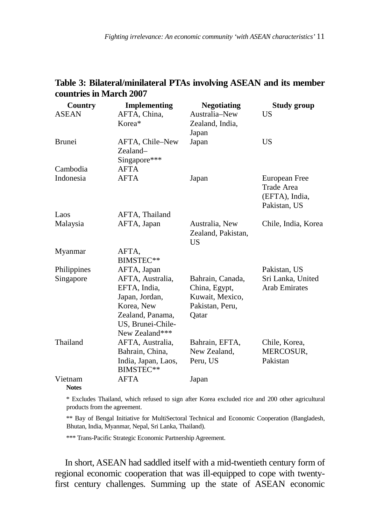## **Table 3: Bilateral/minilateral PTAs involving ASEAN and its member countries in March 2007**

| Country      | <b>Implementing</b>            | <b>Negotiating</b> | Study group          |
|--------------|--------------------------------|--------------------|----------------------|
| <b>ASEAN</b> | AFTA, China,                   | Australia-New      | US                   |
|              | Korea*                         | Zealand, India,    |                      |
|              |                                | Japan              |                      |
| Brunei       | AFTA, Chile-New                | Japan              | US                   |
|              | Zealand-                       |                    |                      |
|              | Singapore***                   |                    |                      |
| Cambodia     | AFTA                           |                    |                      |
| Indonesia    | <b>AFTA</b>                    | Japan              | European Free        |
|              |                                |                    | Trade Area           |
|              |                                |                    | (EFTA), India,       |
|              |                                |                    | Pakistan, US         |
| Laos         | AFTA, Thailand                 |                    |                      |
| Malaysia     | AFTA, Japan                    | Australia, New     | Chile, India, Korea  |
|              |                                | Zealand, Pakistan, |                      |
|              |                                | US                 |                      |
| Myanmar      | AFTA.                          |                    |                      |
|              | BIMSTEC**                      |                    |                      |
| Philippines  | AFTA, Japan                    |                    | Pakistan, US         |
| Singapore    | AFTA, Australia,               | Bahrain, Canada,   | Sri Lanka, United    |
|              | EFTA, India,                   | China, Egypt,      | <b>Arab Emirates</b> |
|              | Japan, Jordan,                 | Kuwait, Mexico,    |                      |
|              | Korea, New<br>Zealand, Panama, | Pakistan, Peru,    |                      |
|              | US, Brunei-Chile-              | Qatar              |                      |
|              | New Zealand***                 |                    |                      |
| Thailand     | AFTA, Australia,               | Bahrain, EFTA,     | Chile, Korea,        |
|              | Bahrain, China,                | New Zealand,       | MERCOSUR,            |
|              | India, Japan, Laos,            | Peru, US           | Pakistan             |
|              | BIMSTEC**                      |                    |                      |
| Vietnam      | <b>AFTA</b>                    | Japan              |                      |
| <b>Notes</b> |                                |                    |                      |

\* Excludes Thailand, which refused to sign after Korea excluded rice and 200 other agricultural products from the agreement.

\*\* Bay of Bengal Initiative for MultiSectoral Technical and Economic Cooperation (Bangladesh, Bhutan, India, Myanmar, Nepal, Sri Lanka, Thailand).

\*\*\* Trans-Pacific Strategic Economic Partnership Agreement.

In short, ASEAN had saddled itself with a mid-twentieth century form of regional economic cooperation that was ill-equipped to cope with twentyfirst century challenges. Summing up the state of ASEAN economic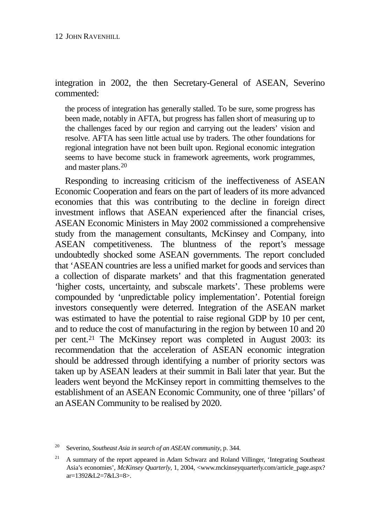integration in 2002, the then Secretary-General of ASEAN, Severino commented:

the process of integration has generally stalled. To be sure, some progress has been made, notably in AFTA, but progress has fallen short of measuring up to the challenges faced by our region and carrying out the leaders' vision and resolve. AFTA has seen little actual use by traders. The other foundations for regional integration have not been built upon. Regional economic integration seems to have become stuck in framework agreements, work programmes, and master plans.[20](#page-15-0)

Responding to increasing criticism of the ineffectiveness of ASEAN Economic Cooperation and fears on the part of leaders of its more advanced economies that this was contributing to the decline in foreign direct investment inflows that ASEAN experienced after the financial crises, ASEAN Economic Ministers in May 2002 commissioned a comprehensive study from the management consultants, McKinsey and Company, into ASEAN competitiveness. The bluntness of the report's message undoubtedly shocked some ASEAN governments. The report concluded that 'ASEAN countries are less a unified market for goods and services than a collection of disparate markets' and that this fragmentation generated 'higher costs, uncertainty, and subscale markets'. These problems were compounded by 'unpredictable policy implementation'. Potential foreign investors consequently were deterred. Integration of the ASEAN market was estimated to have the potential to raise regional GDP by 10 per cent. and to reduce the cost of manufacturing in the region by between 10 and 20 per cent.[21](#page-15-1) The McKinsey report was completed in August 2003: its recommendation that the acceleration of ASEAN economic integration should be addressed through identifying a number of priority sectors was taken up by ASEAN leaders at their summit in Bali later that year. But the leaders went beyond the McKinsey report in committing themselves to the establishment of an ASEAN Economic Community, one of three 'pillars' of an ASEAN Community to be realised by 2020.

<span id="page-15-0"></span><sup>20</sup> Severino, *Southeast Asia in search of an ASEAN community*, p. 344.

<span id="page-15-1"></span><sup>&</sup>lt;sup>21</sup> A summary of the report appeared in Adam Schwarz and Roland Villinger, 'Integrating Southeast Asia's economies', *McKinsey Quarterly*, 1, 2004, <www.mckinseyquarterly.com/article\_page.aspx? ar=1392&L2=7&L3=8>.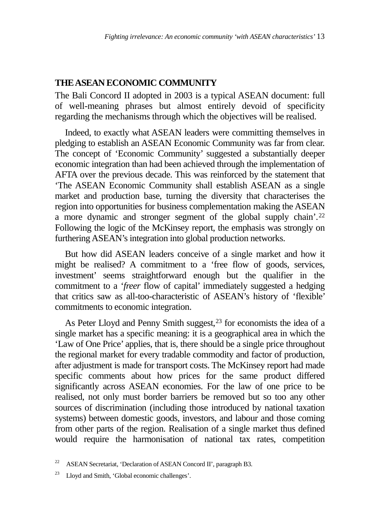## **THE ASEAN ECONOMIC COMMUNITY**

The Bali Concord II adopted in 2003 is a typical ASEAN document: full of well-meaning phrases but almost entirely devoid of specificity regarding the mechanisms through which the objectives will be realised.

Indeed, to exactly what ASEAN leaders were committing themselves in pledging to establish an ASEAN Economic Community was far from clear. The concept of 'Economic Community' suggested a substantially deeper economic integration than had been achieved through the implementation of AFTA over the previous decade. This was reinforced by the statement that 'The ASEAN Economic Community shall establish ASEAN as a single market and production base, turning the diversity that characterises the region into opportunities for business complementation making the ASEAN a more dynamic and stronger segment of the global supply chain'.[22](#page-16-0) Following the logic of the McKinsey report, the emphasis was strongly on furthering ASEAN's integration into global production networks.

But how did ASEAN leaders conceive of a single market and how it might be realised? A commitment to a 'free flow of goods, services, investment' seems straightforward enough but the qualifier in the commitment to a '*freer* flow of capital' immediately suggested a hedging that critics saw as all-too-characteristic of ASEAN's history of 'flexible' commitments to economic integration.

As Peter Lloyd and Penny Smith suggest,<sup>[23](#page-16-1)</sup> for economists the idea of a single market has a specific meaning: it is a geographical area in which the 'Law of One Price' applies, that is, there should be a single price throughout the regional market for every tradable commodity and factor of production, after adjustment is made for transport costs. The McKinsey report had made specific comments about how prices for the same product differed significantly across ASEAN economies. For the law of one price to be realised, not only must border barriers be removed but so too any other sources of discrimination (including those introduced by national taxation systems) between domestic goods, investors, and labour and those coming from other parts of the region. Realisation of a single market thus defined would require the harmonisation of national tax rates, competition

<span id="page-16-0"></span><sup>&</sup>lt;sup>22</sup> ASEAN Secretariat, 'Declaration of ASEAN Concord II', paragraph B3.

<span id="page-16-1"></span><sup>23</sup> Lloyd and Smith, 'Global economic challenges'.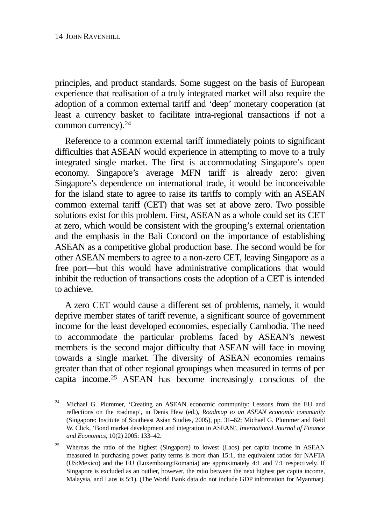principles, and product standards. Some suggest on the basis of European experience that realisation of a truly integrated market will also require the adoption of a common external tariff and 'deep' monetary cooperation (at least a currency basket to facilitate intra-regional transactions if not a common currency).[24](#page-17-0)

Reference to a common external tariff immediately points to significant difficulties that ASEAN would experience in attempting to move to a truly integrated single market. The first is accommodating Singapore's open economy. Singapore's average MFN tariff is already zero: given Singapore's dependence on international trade, it would be inconceivable for the island state to agree to raise its tariffs to comply with an ASEAN common external tariff (CET) that was set at above zero. Two possible solutions exist for this problem. First, ASEAN as a whole could set its CET at zero, which would be consistent with the grouping's external orientation and the emphasis in the Bali Concord on the importance of establishing ASEAN as a competitive global production base. The second would be for other ASEAN members to agree to a non-zero CET, leaving Singapore as a free port—but this would have administrative complications that would inhibit the reduction of transactions costs the adoption of a CET is intended to achieve.

A zero CET would cause a different set of problems, namely, it would deprive member states of tariff revenue, a significant source of government income for the least developed economies, especially Cambodia. The need to accommodate the particular problems faced by ASEAN's newest members is the second major difficulty that ASEAN will face in moving towards a single market. The diversity of ASEAN economies remains greater than that of other regional groupings when measured in terms of per capita income.[25](#page-17-1) ASEAN has become increasingly conscious of the

<span id="page-17-0"></span><sup>24</sup> Michael G. Plummer, 'Creating an ASEAN economic community: Lessons from the EU and reflections on the roadmap', in Denis Hew (ed.), *Roadmap to an ASEAN economic community* (Singapore: Institute of Southeast Asian Studies, 2005), pp. 31–62; Michael G. Plummer and Reid W. Click, 'Bond market development and integration in ASEAN', *International Journal of Finance and Economics*, 10(2) 2005: 133–42.

<span id="page-17-1"></span><sup>&</sup>lt;sup>25</sup> Whereas the ratio of the highest (Singapore) to lowest (Laos) per capita income in ASEAN measured in purchasing power parity terms is more than 15:1, the equivalent ratios for NAFTA (US:Mexico) and the EU (Luxembourg:Romania) are approximately 4:1 and 7:1 respectively. If Singapore is excluded as an outlier, however, the ratio between the next highest per capita income, Malaysia, and Laos is 5:1). (The World Bank data do not include GDP information for Myanmar).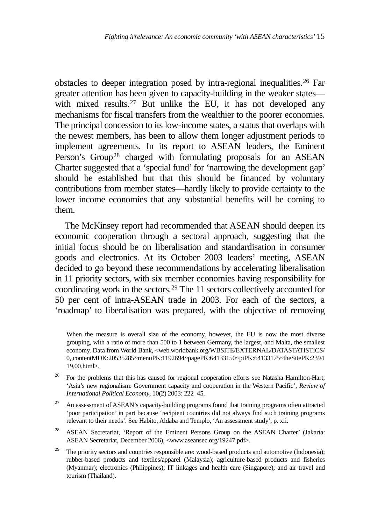obstacles to deeper integration posed by intra-regional inequalities.[26](#page-18-0) Far greater attention has been given to capacity-building in the weaker states with mixed results.<sup>27</sup> But unlike the EU, it has not developed any mechanisms for fiscal transfers from the wealthier to the poorer economies. The principal concession to its low-income states, a status that overlaps with the newest members, has been to allow them longer adjustment periods to implement agreements. In its report to ASEAN leaders, the Eminent Person's Group<sup>[28](#page-18-2)</sup> charged with formulating proposals for an ASEAN Charter suggested that a 'special fund' for 'narrowing the development gap' should be established but that this should be financed by voluntary contributions from member states—hardly likely to provide certainty to the lower income economies that any substantial benefits will be coming to them.

The McKinsey report had recommended that ASEAN should deepen its economic cooperation through a sectoral approach, suggesting that the initial focus should be on liberalisation and standardisation in consumer goods and electronics. At its October 2003 leaders' meeting, ASEAN decided to go beyond these recommendations by accelerating liberalisation in 11 priority sectors, with six member economies having responsibility for coordinating work in the sectors.[29](#page-18-3) The 11 sectors collectively accounted for 50 per cent of intra-ASEAN trade in 2003. For each of the sectors, a 'roadmap' to liberalisation was prepared, with the objective of removing

When the measure is overall size of the economy, however, the EU is now the most diverse grouping, with a ratio of more than 500 to 1 between Germany, the largest, and Malta, the smallest economy. Data from World Bank, <web.worldbank.org/WBSITE/EXTERNAL/DATASTATISTICS/ 0,,contentMDK:20535285~menuPK:1192694~pagePK:64133150~piPK:64133175~theSitePK:2394 19,00.html>.

- <span id="page-18-0"></span><sup>26</sup> For the problems that this has caused for regional cooperation efforts see Natasha Hamilton-Hart, 'Asia's new regionalism: Government capacity and cooperation in the Western Pacific', *Review of International Political Economy*, 10(2) 2003: 222–45.
- <span id="page-18-1"></span><sup>27</sup> An assessment of ASEAN's capacity-building programs found that training programs often attracted 'poor participation' in part because 'recipient countries did not always find such training programs relevant to their needs'. See Habito, Aldaba and Templo, 'An assessment study', p. xii.
- <span id="page-18-2"></span><sup>28</sup> ASEAN Secretariat, 'Report of the Eminent Persons Group on the ASEAN Charter' (Jakarta: ASEAN Secretariat, December 2006), <www.aseansec.org/19247.pdf>.
- <span id="page-18-3"></span><sup>29</sup> The priority sectors and countries responsible are: wood-based products and automotive (Indonesia); rubber-based products and textiles/apparel (Malaysia); agriculture-based products and fisheries (Myanmar); electronics (Philippines); IT linkages and health care (Singapore); and air travel and tourism (Thailand).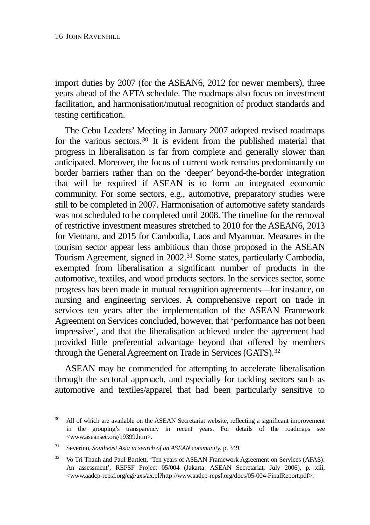import duties by 2007 (for the ASEAN6, 2012 for newer members), three years ahead of the AFTA schedule. The roadmaps also focus on investment facilitation, and harmonisation/mutual recognition of product standards and testing certification.

The Cebu Leaders' Meeting in January 2007 adopted revised roadmaps for the various sectors.[30](#page-19-0) It is evident from the published material that progress in liberalisation is far from complete and generally slower than anticipated. Moreover, the focus of current work remains predominantly on border barriers rather than on the 'deeper' beyond-the-border integration that will be required if ASEAN is to form an integrated economic community. For some sectors, e.g., automotive, preparatory studies were still to be completed in 2007. Harmonisation of automotive safety standards was not scheduled to be completed until 2008. The timeline for the removal of restrictive investment measures stretched to 2010 for the ASEAN6, 2013 for Vietnam, and 2015 for Cambodia, Laos and Myanmar. Measures in the tourism sector appear less ambitious than those proposed in the ASEAN Tourism Agreement, signed in 2002.[31](#page-19-1) Some states, particularly Cambodia, exempted from liberalisation a significant number of products in the automotive, textiles, and wood products sectors. In the services sector, some progress has been made in mutual recognition agreements—for instance, on nursing and engineering services. A comprehensive report on trade in services ten years after the implementation of the ASEAN Framework Agreement on Services concluded, however, that 'performance has not been impressive', and that the liberalisation achieved under the agreement had provided little preferential advantage beyond that offered by members through the General Agreement on Trade in Services (GATS).<sup>[32](#page-19-2)</sup>

ASEAN may be commended for attempting to accelerate liberalisation through the sectoral approach, and especially for tackling sectors such as automotive and textiles/apparel that had been particularly sensitive to

<span id="page-19-0"></span><sup>&</sup>lt;sup>30</sup> All of which are available on the ASEAN Secretariat website, reflecting a significant improvement in the grouping's transparency in recent years. For details of the roadmaps see <www.aseansec.org/19399.htm>.

<span id="page-19-1"></span><sup>31</sup> Severino, *Southeast Asia in search of an ASEAN community*, p. 349.

<span id="page-19-2"></span><sup>&</sup>lt;sup>32</sup> Vo Tri Thanh and Paul Bartlett, 'Ten years of ASEAN Framework Agreement on Services (AFAS): An assessment', REPSF Project 05/004 (Jakarta: ASEAN Secretariat, July 2006), p. xiii, [<www.aadcp-repsf.org/cgi/axs/ax.pl?http://www.aadcp-repsf.org/docs/05-004-FinalReport.pdf>](http://www.aadcp-repsf.org/cgi/axs/ax.pl?http://www.aadcp-repsf.org/docs/05-004-FinalReport.pdf).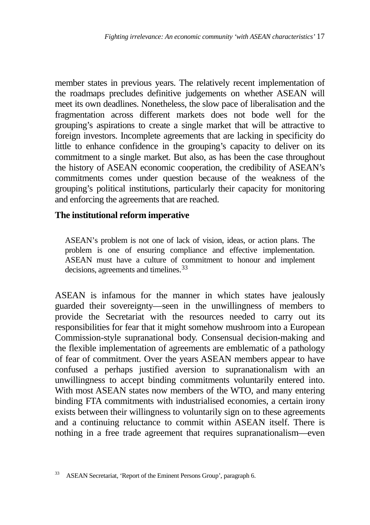member states in previous years. The relatively recent implementation of the roadmaps precludes definitive judgements on whether ASEAN will meet its own deadlines. Nonetheless, the slow pace of liberalisation and the fragmentation across different markets does not bode well for the grouping's aspirations to create a single market that will be attractive to foreign investors. Incomplete agreements that are lacking in specificity do little to enhance confidence in the grouping's capacity to deliver on its commitment to a single market. But also, as has been the case throughout the history of ASEAN economic cooperation, the credibility of ASEAN's commitments comes under question because of the weakness of the grouping's political institutions, particularly their capacity for monitoring and enforcing the agreements that are reached.

## **The institutional reform imperative**

ASEAN's problem is not one of lack of vision, ideas, or action plans. The problem is one of ensuring compliance and effective implementation. ASEAN must have a culture of commitment to honour and implement decisions, agreements and timelines.<sup>[33](#page-20-0)</sup>

ASEAN is infamous for the manner in which states have jealously guarded their sovereignty—seen in the unwillingness of members to provide the Secretariat with the resources needed to carry out its responsibilities for fear that it might somehow mushroom into a European Commission-style supranational body. Consensual decision-making and the flexible implementation of agreements are emblematic of a pathology of fear of commitment. Over the years ASEAN members appear to have confused a perhaps justified aversion to supranationalism with an unwillingness to accept binding commitments voluntarily entered into. With most ASEAN states now members of the WTO, and many entering binding FTA commitments with industrialised economies, a certain irony exists between their willingness to voluntarily sign on to these agreements and a continuing reluctance to commit within ASEAN itself. There is nothing in a free trade agreement that requires supranationalism—even

<span id="page-20-0"></span><sup>33</sup> ASEAN Secretariat, 'Report of the Eminent Persons Group', paragraph 6.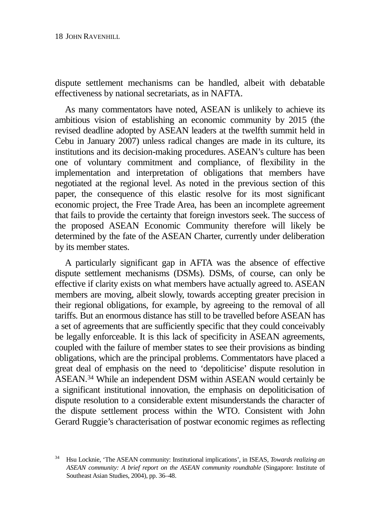dispute settlement mechanisms can be handled, albeit with debatable effectiveness by national secretariats, as in NAFTA.

As many commentators have noted, ASEAN is unlikely to achieve its ambitious vision of establishing an economic community by 2015 (the revised deadline adopted by ASEAN leaders at the twelfth summit held in Cebu in January 2007) unless radical changes are made in its culture, its institutions and its decision-making procedures. ASEAN's culture has been one of voluntary commitment and compliance, of flexibility in the implementation and interpretation of obligations that members have negotiated at the regional level. As noted in the previous section of this paper, the consequence of this elastic resolve for its most significant economic project, the Free Trade Area, has been an incomplete agreement that fails to provide the certainty that foreign investors seek. The success of the proposed ASEAN Economic Community therefore will likely be determined by the fate of the ASEAN Charter, currently under deliberation by its member states.

A particularly significant gap in AFTA was the absence of effective dispute settlement mechanisms (DSMs). DSMs, of course, can only be effective if clarity exists on what members have actually agreed to. ASEAN members are moving, albeit slowly, towards accepting greater precision in their regional obligations, for example, by agreeing to the removal of all tariffs. But an enormous distance has still to be travelled before ASEAN has a set of agreements that are sufficiently specific that they could conceivably be legally enforceable. It is this lack of specificity in ASEAN agreements, coupled with the failure of member states to see their provisions as binding obligations, which are the principal problems. Commentators have placed a great deal of emphasis on the need to 'depoliticise' dispute resolution in ASEAN[.34](#page-21-0) While an independent DSM within ASEAN would certainly be a significant institutional innovation, the emphasis on depoliticisation of dispute resolution to a considerable extent misunderstands the character of the dispute settlement process within the WTO. Consistent with John Gerard Ruggie's characterisation of postwar economic regimes as reflecting

<span id="page-21-0"></span><sup>34</sup> Hsu Locknie, 'The ASEAN community: Institutional implications', in ISEAS, *Towards realizing an ASEAN community: A brief report on the ASEAN community roundtable* (Singapore: Institute of Southeast Asian Studies, 2004), pp. 36–48.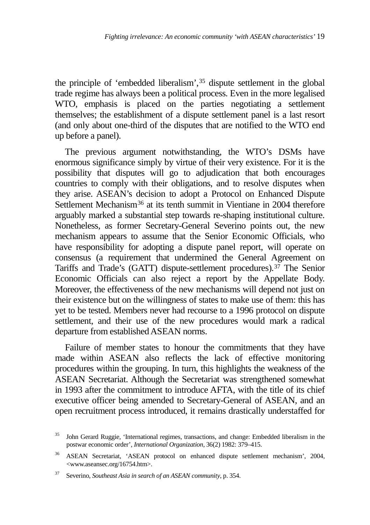the principle of 'embedded liberalism',[35](#page-22-0) dispute settlement in the global trade regime has always been a political process. Even in the more legalised WTO, emphasis is placed on the parties negotiating a settlement themselves; the establishment of a dispute settlement panel is a last resort (and only about one-third of the disputes that are notified to the WTO end up before a panel).

The previous argument notwithstanding, the WTO's DSMs have enormous significance simply by virtue of their very existence. For it is the possibility that disputes will go to adjudication that both encourages countries to comply with their obligations, and to resolve disputes when they arise. ASEAN's decision to adopt a Protocol on Enhanced Dispute Settlement Mechanism<sup>[36](#page-22-1)</sup> at its tenth summit in Vientiane in 2004 therefore arguably marked a substantial step towards re-shaping institutional culture. Nonetheless, as former Secretary-General Severino points out, the new mechanism appears to assume that the Senior Economic Officials, who have responsibility for adopting a dispute panel report, will operate on consensus (a requirement that undermined the General Agreement on Tariffs and Trade's (GATT) dispute-settlement procedures).[37](#page-22-2) The Senior Economic Officials can also reject a report by the Appellate Body. Moreover, the effectiveness of the new mechanisms will depend not just on their existence but on the willingness of states to make use of them: this has yet to be tested. Members never had recourse to a 1996 protocol on dispute settlement, and their use of the new procedures would mark a radical departure from established ASEAN norms.

Failure of member states to honour the commitments that they have made within ASEAN also reflects the lack of effective monitoring procedures within the grouping. In turn, this highlights the weakness of the ASEAN Secretariat. Although the Secretariat was strengthened somewhat in 1993 after the commitment to introduce AFTA, with the title of its chief executive officer being amended to Secretary-General of ASEAN, and an open recruitment process introduced, it remains drastically understaffed for

<span id="page-22-0"></span><sup>&</sup>lt;sup>35</sup> John Gerard Ruggie, 'International regimes, transactions, and change: Embedded liberalism in the postwar economic order', *International Organization*, 36(2) 1982: 379–415.

<span id="page-22-1"></span><sup>36</sup> ASEAN Secretariat, 'ASEAN protocol on enhanced dispute settlement mechanism', 2004, <www.aseansec.org/16754.htm>.

<span id="page-22-2"></span><sup>37</sup> Severino, *Southeast Asia in search of an ASEAN community*, p. 354.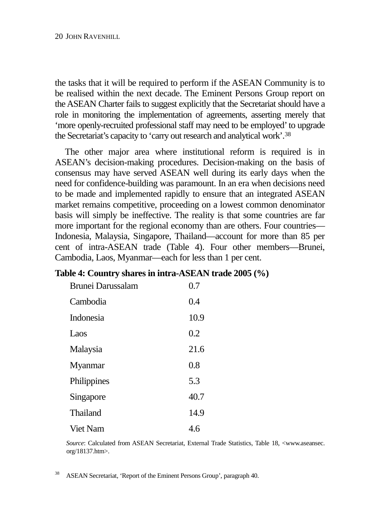the tasks that it will be required to perform if the ASEAN Community is to be realised within the next decade. The Eminent Persons Group report on the ASEAN Charter fails to suggest explicitly that the Secretariat should have a role in monitoring the implementation of agreements, asserting merely that 'more openly-recruited professional staff may need to be employed' to upgrade the Secretariat's capacity to 'carry out research and analytical work'[.38](#page-23-0)

The other major area where institutional reform is required is in ASEAN's decision-making procedures. Decision-making on the basis of consensus may have served ASEAN well during its early days when the need for confidence-building was paramount. In an era when decisions need to be made and implemented rapidly to ensure that an integrated ASEAN market remains competitive, proceeding on a lowest common denominator basis will simply be ineffective. The reality is that some countries are far more important for the regional economy than are others. Four countries— Indonesia, Malaysia, Singapore, Thailand—account for more than 85 per cent of intra-ASEAN trade (Table 4). Four other members—Brunei, Cambodia, Laos, Myanmar—each for less than 1 per cent.

### **Table 4: Country shares in intra-ASEAN trade 2005 (%)**

| <b>Brunei Darussalam</b> | 0.7  |
|--------------------------|------|
| Cambodia                 | 0.4  |
| <b>Indonesia</b>         | 10.9 |
| Laos                     | 0.2  |
| Malaysia                 | 21.6 |
| Myanmar                  | 0.8  |
| Philippines              | 5.3  |
| Singapore                | 40.7 |
| Thailand                 | 14.9 |
| Viet Nam                 | 4.6  |

*Source*: Calculated from ASEAN Secretariat, External Trade Statistics, Table 18, <www.aseansec. org/18137.htm>.

<span id="page-23-0"></span><sup>38</sup> ASEAN Secretariat, 'Report of the Eminent Persons Group', paragraph 40.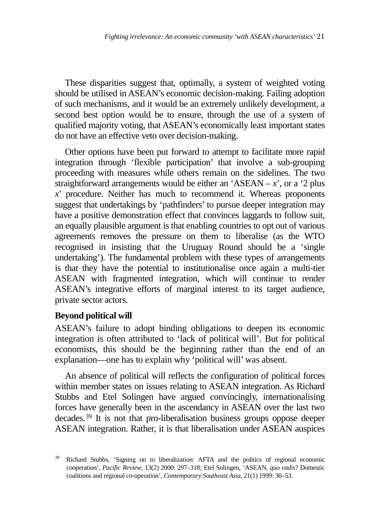These disparities suggest that, optimally, a system of weighted voting should be utilised in ASEAN's economic decision-making. Failing adoption of such mechanisms, and it would be an extremely unlikely development, a second best option would be to ensure, through the use of a system of qualified majority voting, that ASEAN's economically least important states do not have an effective veto over decision-making.

Other options have been put forward to attempt to facilitate more rapid integration through 'flexible participation' that involve a sub-grouping proceeding with measures while others remain on the sidelines. The two straightforward arrangements would be either an 'ASEAN  $-x$ ', or a '2 plus *x*' procedure. Neither has much to recommend it. Whereas proponents suggest that undertakings by 'pathfinders' to pursue deeper integration may have a positive demonstration effect that convinces laggards to follow suit, an equally plausible argument is that enabling countries to opt out of various agreements removes the pressure on them to liberalise (as the WTO recognised in insisting that the Uruguay Round should be a 'single undertaking'). The fundamental problem with these types of arrangements is that they have the potential to institutionalise once again a multi-tier ASEAN with fragmented integration, which will continue to render ASEAN's integrative efforts of marginal interest to its target audience, private sector actors.

### **Beyond political will**

ASEAN's failure to adopt binding obligations to deepen its economic integration is often attributed to 'lack of political will'. But for political economists, this should be the beginning rather than the end of an explanation—one has to explain why 'political will' was absent.

An absence of political will reflects the configuration of political forces within member states on issues relating to ASEAN integration. As Richard Stubbs and Etel Solingen have argued convincingly, internationalising forces have generally been in the ascendancy in ASEAN over the last two decades.[39](#page-24-0) It is not that pro-liberalisation business groups oppose deeper ASEAN integration. Rather, it is that liberalisation under ASEAN auspices

<span id="page-24-0"></span><sup>39</sup> Richard Stubbs, 'Signing on to liberalization: AFTA and the politics of regional economic cooperation', *Pacific Review*, 13(2) 2000: 297–318; Etel Solingen, 'ASEAN, *quo vadis*? Domestic coalitions and regional co-operation', *Contemporary Southeast Asia*, 21(1) 1999: 30–53.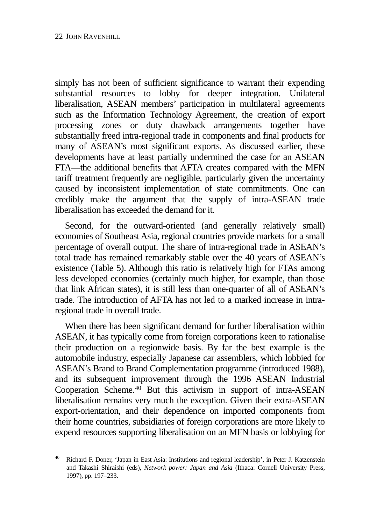simply has not been of sufficient significance to warrant their expending substantial resources to lobby for deeper integration. Unilateral liberalisation, ASEAN members' participation in multilateral agreements such as the Information Technology Agreement, the creation of export processing zones or duty drawback arrangements together have substantially freed intra-regional trade in components and final products for many of ASEAN's most significant exports. As discussed earlier, these developments have at least partially undermined the case for an ASEAN FTA—the additional benefits that AFTA creates compared with the MFN tariff treatment frequently are negligible, particularly given the uncertainty caused by inconsistent implementation of state commitments. One can credibly make the argument that the supply of intra-ASEAN trade liberalisation has exceeded the demand for it.

Second, for the outward-oriented (and generally relatively small) economies of Southeast Asia, regional countries provide markets for a small percentage of overall output. The share of intra-regional trade in ASEAN's total trade has remained remarkably stable over the 40 years of ASEAN's existence (Table 5). Although this ratio is relatively high for FTAs among less developed economies (certainly much higher, for example, than those that link African states), it is still less than one-quarter of all of ASEAN's trade. The introduction of AFTA has not led to a marked increase in intraregional trade in overall trade.

When there has been significant demand for further liberalisation within ASEAN, it has typically come from foreign corporations keen to rationalise their production on a regionwide basis. By far the best example is the automobile industry, especially Japanese car assemblers, which lobbied for ASEAN's Brand to Brand Complementation programme (introduced 1988), and its subsequent improvement through the 1996 ASEAN Industrial Cooperation Scheme.[40](#page-25-0) But this activism in support of intra-ASEAN liberalisation remains very much the exception. Given their extra-ASEAN export-orientation, and their dependence on imported components from their home countries, subsidiaries of foreign corporations are more likely to expend resources supporting liberalisation on an MFN basis or lobbying for

<span id="page-25-0"></span><sup>40</sup> Richard F. Doner, 'Japan in East Asia: Institutions and regional leadership', in Peter J. Katzenstein and Takashi Shiraishi (eds), *Network power: Japan and Asia* (Ithaca: Cornell University Press, 1997), pp. 197–233.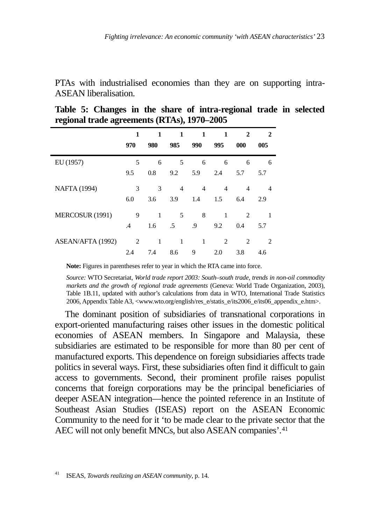PTAs with industrialised economies than they are on supporting intra-ASEAN liberalisation.

| o<br>o              |               |     | ,,             |                |                |                |                |
|---------------------|---------------|-----|----------------|----------------|----------------|----------------|----------------|
|                     | 1             | 1   | 1              | 1              | 1              | 2              | 2              |
|                     | 970           | 980 | 985            | 990            | 995            | 000            | 005            |
| EU (1957)           | 5             | 6   | 5              | 6              | 6              | 6              | 6              |
|                     | 9.5           | 0.8 | 9.2            | 5.9            | 2.4            | 5.7            | 5.7            |
| <b>NAFTA</b> (1994) | 3             | 3   | $\overline{4}$ | $\overline{4}$ | 4              | $\overline{4}$ | 4              |
|                     | 6.0           | 3.6 | 3.9            | 1.4            | 1.5            | 6.4            | 2.9            |
| MERCOSUR (1991)     | 9             | 1   | 5              | 8              | 1              | 2              | 1              |
|                     | $\mathcal{A}$ | 1.6 | .5             | .9             | 9.2            | 0.4            | 5.7            |
| ASEAN/AFTA (1992)   | 2             | 1   | $\mathbf{1}$   | 1              | $\overline{c}$ | $\overline{c}$ | $\overline{c}$ |
|                     | 2.4           | 7.4 | 8.6            | 9              | 2.0            | 3.8            | 4.6            |

**Table 5: Changes in the share of intra-regional trade in selected regional trade agreements (RTAs), 1970–2005**

**Note:** Figures in parentheses refer to year in which the RTA came into force.

*Source:* WTO Secretariat, *World trade report 2003: South–south trade, trends in non-oil commodity markets and the growth of regional trade agreements* (Geneva: World Trade Organization, 2003), Table 1B.11, updated with author's calculations from data in WTO, International Trade Statistics 2006, Appendix Table A3, <www.wto.org/english/res\_e/statis\_e/its2006\_e/its06\_appendix\_e.htm>.

The dominant position of subsidiaries of transnational corporations in export-oriented manufacturing raises other issues in the domestic political economies of ASEAN members. In Singapore and Malaysia, these subsidiaries are estimated to be responsible for more than 80 per cent of manufactured exports. This dependence on foreign subsidiaries affects trade politics in several ways. First, these subsidiaries often find it difficult to gain access to governments. Second, their prominent profile raises populist concerns that foreign corporations may be the principal beneficiaries of deeper ASEAN integration—hence the pointed reference in an Institute of Southeast Asian Studies (ISEAS) report on the ASEAN Economic Community to the need for it 'to be made clear to the private sector that the AEC will not only benefit MNCs, but also ASEAN companies'.<sup>[41](#page-26-0)</sup>

<span id="page-26-0"></span><sup>41</sup> ISEAS, *Towards realizing an ASEAN community*, p. 14.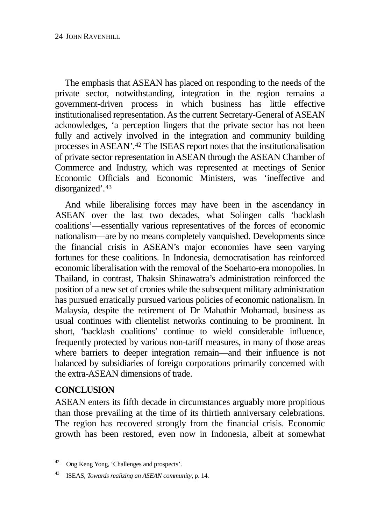The emphasis that ASEAN has placed on responding to the needs of the private sector, notwithstanding, integration in the region remains a government-driven process in which business has little effective institutionalised representation. As the current Secretary-General of ASEAN acknowledges, 'a perception lingers that the private sector has not been fully and actively involved in the integration and community building processes in ASEAN'[.42](#page-27-0) The ISEAS report notes that the institutionalisation of private sector representation in ASEAN through the ASEAN Chamber of Commerce and Industry, which was represented at meetings of Senior Economic Officials and Economic Ministers, was 'ineffective and disorganized'.<sup>[43](#page-27-1)</sup>

And while liberalising forces may have been in the ascendancy in ASEAN over the last two decades, what Solingen calls 'backlash coalitions'—essentially various representatives of the forces of economic nationalism—are by no means completely vanquished. Developments since the financial crisis in ASEAN's major economies have seen varying fortunes for these coalitions. In Indonesia, democratisation has reinforced economic liberalisation with the removal of the Soeharto-era monopolies. In Thailand, in contrast, Thaksin Shinawatra's administration reinforced the position of a new set of cronies while the subsequent military administration has pursued erratically pursued various policies of economic nationalism. In Malaysia, despite the retirement of Dr Mahathir Mohamad, business as usual continues with clientelist networks continuing to be prominent. In short, 'backlash coalitions' continue to wield considerable influence, frequently protected by various non-tariff measures, in many of those areas where barriers to deeper integration remain—and their influence is not balanced by subsidiaries of foreign corporations primarily concerned with the extra-ASEAN dimensions of trade.

## **CONCLUSION**

ASEAN enters its fifth decade in circumstances arguably more propitious than those prevailing at the time of its thirtieth anniversary celebrations. The region has recovered strongly from the financial crisis. Economic growth has been restored, even now in Indonesia, albeit at somewhat

<span id="page-27-0"></span><sup>42</sup> Ong Keng Yong, 'Challenges and prospects'.

<span id="page-27-1"></span><sup>43</sup> ISEAS, *Towards realizing an ASEAN community*, p. 14.